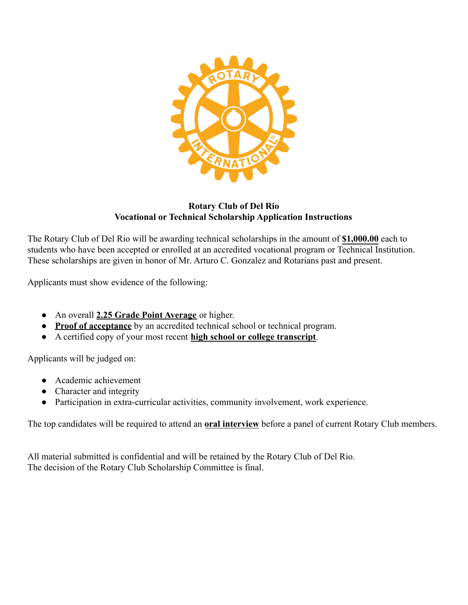

**Rotary Club of Del Rio Vocational or Technical Scholarship Application Instructions**

The Rotary Club of Del Rio will be awarding technical scholarships in the amount of **\$1,000.00** each to students who have been accepted or enrolled at an accredited vocational program or Technical Institution. These scholarships are given in honor of Mr. Arturo C. Gonzalez and Rotarians past and present.

Applicants must show evidence of the following:

- An overall **2.25 Grade Point Average** or higher.
- **Proof of acceptance** by an accredited technical school or technical program.
- A certified copy of your most recent **high school or college transcript**.

Applicants will be judged on:

- Academic achievement
- Character and integrity
- Participation in extra-curricular activities, community involvement, work experience.

The top candidates will be required to attend an **oral interview** before a panel of current Rotary Club members.

All material submitted is confidential and will be retained by the Rotary Club of Del Rio. The decision of the Rotary Club Scholarship Committee is final.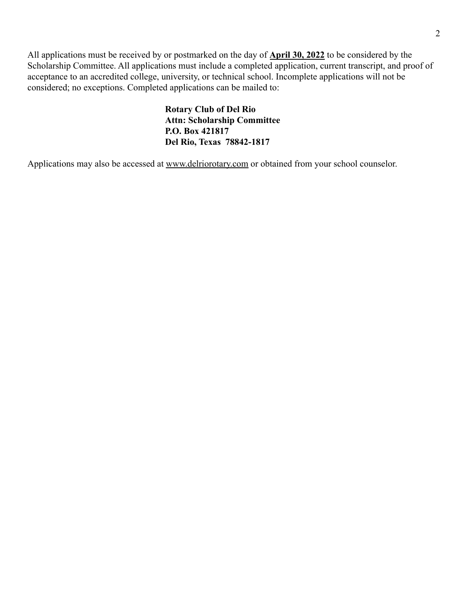All applications must be received by or postmarked on the day of **April 30, 2022** to be considered by the Scholarship Committee. All applications must include a completed application, current transcript, and proof of acceptance to an accredited college, university, or technical school. Incomplete applications will not be considered; no exceptions. Completed applications can be mailed to:

> **Rotary Club of Del Rio Attn: Scholarship Committee P.O. Box 421817 Del Rio, Texas 78842-1817**

Applications may also be accessed at [www.delriorotary.com](http://www.delriorotary.com) or obtained from your school counselor.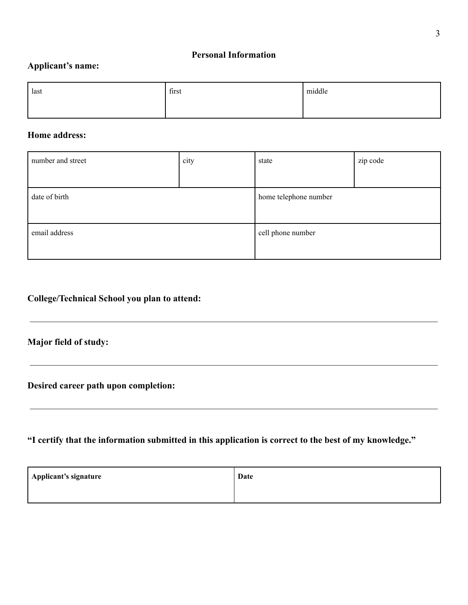#### **Personal Information**

## **Applicant's name:**

| last | first | middle |
|------|-------|--------|
|      |       |        |

#### **Home address:**

| number and street | city | state                 | zip code |
|-------------------|------|-----------------------|----------|
|                   |      |                       |          |
| date of birth     |      | home telephone number |          |
|                   |      |                       |          |
| email address     |      | cell phone number     |          |
|                   |      |                       |          |

## **College/Technical School you plan to attend:**

## **Major field of study:**

**Desired career path upon completion:**

## **"I certify that the information submitted in this application is correct to the best of my knowledge."**

| Applicant's signature | Date |
|-----------------------|------|
|                       |      |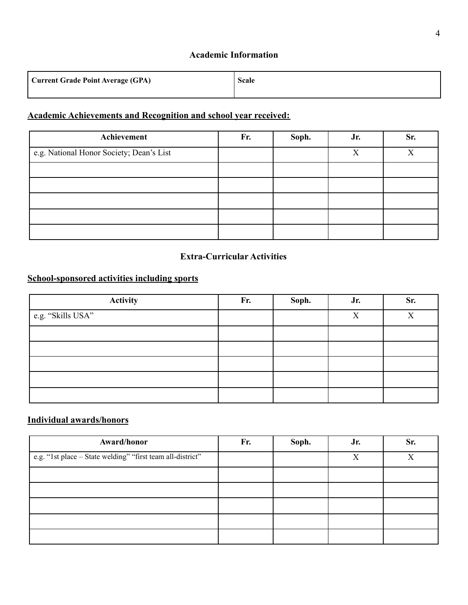#### **Academic Information**

| <b>Current Grade Point Average (GPA)</b> | <b>Scale</b> |
|------------------------------------------|--------------|
|                                          |              |

## **Academic Achievements and Recognition and school year received:**

| Achievement                              | Fr. | Soph. | Jr. | Sr. |
|------------------------------------------|-----|-------|-----|-----|
| e.g. National Honor Society; Dean's List |     |       | Х   | v   |
|                                          |     |       |     |     |
|                                          |     |       |     |     |
|                                          |     |       |     |     |
|                                          |     |       |     |     |
|                                          |     |       |     |     |

#### **Extra-Curricular Activities**

## **School-sponsored activities including sports**

| Activity          | Fr. | Soph. | Jr.          | Sr. |
|-------------------|-----|-------|--------------|-----|
| e.g. "Skills USA" |     |       | $\mathbf{X}$ | X   |
|                   |     |       |              |     |
|                   |     |       |              |     |
|                   |     |       |              |     |
|                   |     |       |              |     |
|                   |     |       |              |     |

## **Individual awards/honors**

| Award/honor                                                | Fr. | Soph. | Jr. | Sr. |
|------------------------------------------------------------|-----|-------|-----|-----|
| e.g. "1st place – State welding" "first team all-district" |     |       | X   | v   |
|                                                            |     |       |     |     |
|                                                            |     |       |     |     |
|                                                            |     |       |     |     |
|                                                            |     |       |     |     |
|                                                            |     |       |     |     |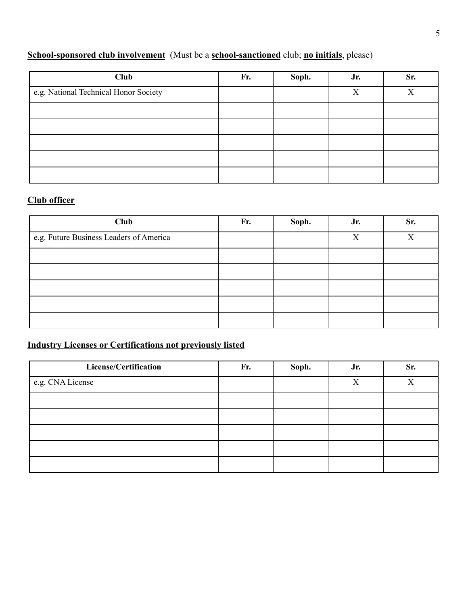## **School-sponsored club involvement** (Must be a **school-sanctioned** club; **no initials**, please)

| Club                                  | Fr. | Soph. | Jr. | Sr. |
|---------------------------------------|-----|-------|-----|-----|
| e.g. National Technical Honor Society |     |       | X   | X   |
|                                       |     |       |     |     |
|                                       |     |       |     |     |
|                                       |     |       |     |     |
|                                       |     |       |     |     |
|                                       |     |       |     |     |

# **Club officer**

| Club                                    | Fr. | Soph. | Jr. | Sr. |
|-----------------------------------------|-----|-------|-----|-----|
| e.g. Future Business Leaders of America |     |       | X   | X   |
|                                         |     |       |     |     |
|                                         |     |       |     |     |
|                                         |     |       |     |     |
|                                         |     |       |     |     |
|                                         |     |       |     |     |

## **Industry Licenses or Certifications not previously listed**

| License/Certification | Fr. | Soph. | Jr. | Sr. |
|-----------------------|-----|-------|-----|-----|
| e.g. CNA License      |     |       | X   | X   |
|                       |     |       |     |     |
|                       |     |       |     |     |
|                       |     |       |     |     |
|                       |     |       |     |     |
|                       |     |       |     |     |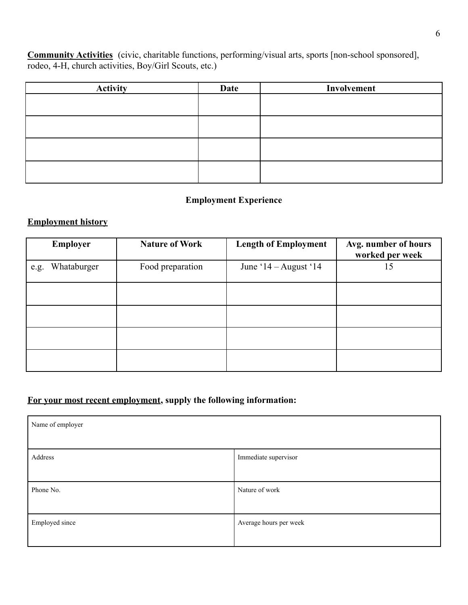**Community Activities** (civic, charitable functions, performing/visual arts, sports [non-school sponsored], rodeo, 4-H, church activities, Boy/Girl Scouts, etc.)

| <b>Activity</b> | Date | Involvement |
|-----------------|------|-------------|
|                 |      |             |
|                 |      |             |
|                 |      |             |
|                 |      |             |
|                 |      |             |
|                 |      |             |
|                 |      |             |
|                 |      |             |

## **Employment Experience**

#### **Employment history**

|      | <b>Employer</b> | <b>Nature of Work</b> | <b>Length of Employment</b> | Avg. number of hours<br>worked per week |
|------|-----------------|-----------------------|-----------------------------|-----------------------------------------|
| e.g. | Whataburger     | Food preparation      | June ' $14 -$ August ' $14$ | 15                                      |
|      |                 |                       |                             |                                         |
|      |                 |                       |                             |                                         |
|      |                 |                       |                             |                                         |
|      |                 |                       |                             |                                         |

#### **For your most recent employment, supply the following information:**

| Name of employer |                        |
|------------------|------------------------|
| Address          | Immediate supervisor   |
| Phone No.        | Nature of work         |
| Employed since   | Average hours per week |